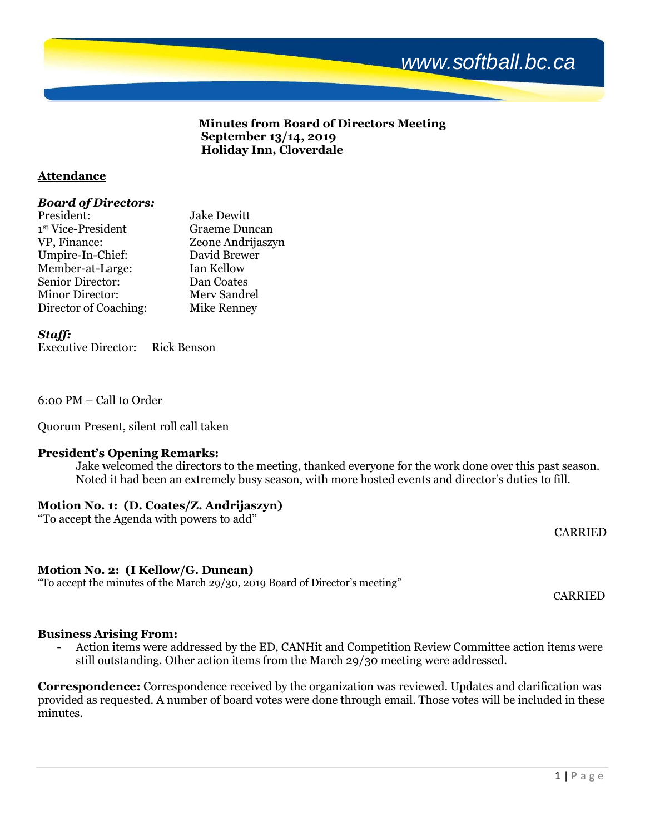

# **Minutes from Board of Directors Meeting September 13/14, 2019 Holiday Inn, Cloverdale**

# **Attendance**

# *Board of Directors:*

| President:             | <b>Jake Dewitt</b> |
|------------------------|--------------------|
| 1st Vice-President     | Graeme Duncan      |
| VP, Finance:           | Zeone Andrijaszyn  |
| Umpire-In-Chief:       | David Brewer       |
| Member-at-Large:       | Ian Kellow         |
| Senior Director:       | Dan Coates         |
| <b>Minor Director:</b> | Merv Sandrel       |
| Director of Coaching:  | <b>Mike Renney</b> |

*Staff:*

Executive Director: Rick Benson

6:00 PM – Call to Order

Quorum Present, silent roll call taken

# **President's Opening Remarks:**

Jake welcomed the directors to the meeting, thanked everyone for the work done over this past season. Noted it had been an extremely busy season, with more hosted events and director's duties to fill.

# **Motion No. 1: (D. Coates/Z. Andrijaszyn)**

"To accept the Agenda with powers to add"

CARRIED

# **Motion No. 2: (I Kellow/G. Duncan)**

"To accept the minutes of the March 29/30, 2019 Board of Director's meeting"

CARRIED

# **Business Arising From:**

Action items were addressed by the ED, CANHit and Competition Review Committee action items were still outstanding. Other action items from the March 29/30 meeting were addressed.

**Correspondence:** Correspondence received by the organization was reviewed. Updates and clarification was provided as requested. A number of board votes were done through email. Those votes will be included in these minutes.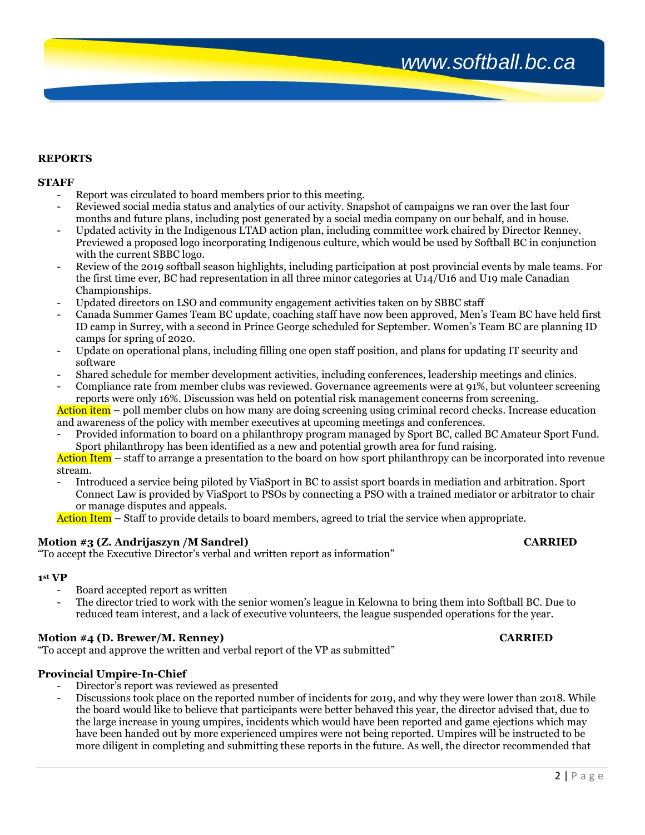### **REPORTS**

### **STAFF**

- Report was circulated to board members prior to this meeting.
- Reviewed social media status and analytics of our activity. Snapshot of campaigns we ran over the last four months and future plans, including post generated by a social media company on our behalf, and in house.
- Updated activity in the Indigenous LTAD action plan, including committee work chaired by Director Renney. Previewed a proposed logo incorporating Indigenous culture, which would be used by Softball BC in conjunction with the current SBBC logo.
- Review of the 2019 softball season highlights, including participation at post provincial events by male teams. For the first time ever, BC had representation in all three minor categories at U14/U16 and U19 male Canadian Championships.
- Updated directors on LSO and community engagement activities taken on by SBBC staff
- Canada Summer Games Team BC update, coaching staff have now been approved, Men's Team BC have held first ID camp in Surrey, with a second in Prince George scheduled for September. Women's Team BC are planning ID camps for spring of 2020.
- Update on operational plans, including filling one open staff position, and plans for updating IT security and software
- Shared schedule for member development activities, including conferences, leadership meetings and clinics.
- Compliance rate from member clubs was reviewed. Governance agreements were at 91%, but volunteer screening reports were only 16%. Discussion was held on potential risk management concerns from screening.

Action item – poll member clubs on how many are doing screening using criminal record checks. Increase education and awareness of the policy with member executives at upcoming meetings and conferences.

Provided information to board on a philanthropy program managed by Sport BC, called BC Amateur Sport Fund. Sport philanthropy has been identified as a new and potential growth area for fund raising.

Action Item – staff to arrange a presentation to the board on how sport philanthropy can be incorporated into revenue stream.

- Introduced a service being piloted by ViaSport in BC to assist sport boards in mediation and arbitration. Sport Connect Law is provided by ViaSport to PSOs by connecting a PSO with a trained mediator or arbitrator to chair or manage disputes and appeals.

Action Item – Staff to provide details to board members, agreed to trial the service when appropriate.

## **Motion #3 (Z. Andrijaszyn /M Sandrel) CARRIED**

"To accept the Executive Director's verbal and written report as information"

### **1 st VP**

- Board accepted report as written
- The director tried to work with the senior women's league in Kelowna to bring them into Softball BC. Due to reduced team interest, and a lack of executive volunteers, the league suspended operations for the year.

## **Motion #4 (D. Brewer/M. Renney) CARRIED**

"To accept and approve the written and verbal report of the VP as submitted"

### **Provincial Umpire-In-Chief**

- Director's report was reviewed as presented
- Discussions took place on the reported number of incidents for 2019, and why they were lower than 2018. While the board would like to believe that participants were better behaved this year, the director advised that, due to the large increase in young umpires, incidents which would have been reported and game ejections which may have been handed out by more experienced umpires were not being reported. Umpires will be instructed to be more diligent in completing and submitting these reports in the future. As well, the director recommended that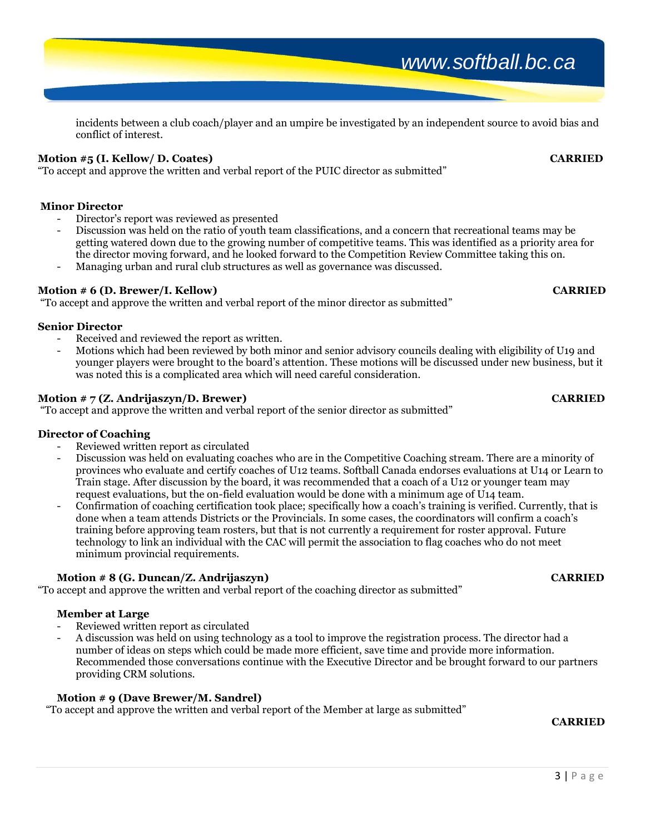incidents between a club coach/player and an umpire be investigated by an independent source to avoid bias and conflict of interest.

# **Motion #5 (I. Kellow/ D. Coates) CARRIED**

"To accept and approve the written and verbal report of the PUIC director as submitted"

# **Minor Director**

- Director's report was reviewed as presented
- Discussion was held on the ratio of youth team classifications, and a concern that recreational teams may be getting watered down due to the growing number of competitive teams. This was identified as a priority area for the director moving forward, and he looked forward to the Competition Review Committee taking this on.
- Managing urban and rural club structures as well as governance was discussed.

# **Motion # 6 (D. Brewer/I. Kellow) CARRIED**

"To accept and approve the written and verbal report of the minor director as submitted"

# **Senior Director**

- Received and reviewed the report as written.
- Motions which had been reviewed by both minor and senior advisory councils dealing with eligibility of U19 and younger players were brought to the board's attention. These motions will be discussed under new business, but it was noted this is a complicated area which will need careful consideration.

# **Motion # 7 (Z. Andrijaszyn/D. Brewer) CARRIED**

"To accept and approve the written and verbal report of the senior director as submitted"

# **Director of Coaching**

- Reviewed written report as circulated
- Discussion was held on evaluating coaches who are in the Competitive Coaching stream. There are a minority of provinces who evaluate and certify coaches of U12 teams. Softball Canada endorses evaluations at U14 or Learn to Train stage. After discussion by the board, it was recommended that a coach of a U12 or younger team may request evaluations, but the on-field evaluation would be done with a minimum age of U14 team.
- Confirmation of coaching certification took place; specifically how a coach's training is verified. Currently, that is done when a team attends Districts or the Provincials. In some cases, the coordinators will confirm a coach's training before approving team rosters, but that is not currently a requirement for roster approval. Future technology to link an individual with the CAC will permit the association to flag coaches who do not meet minimum provincial requirements.

# **Motion # 8 (G. Duncan/Z. Andrijaszyn) CARRIED**

"To accept and approve the written and verbal report of the coaching director as submitted"

# **Member at Large**

- Reviewed written report as circulated
- A discussion was held on using technology as a tool to improve the registration process. The director had a number of ideas on steps which could be made more efficient, save time and provide more information. Recommended those conversations continue with the Executive Director and be brought forward to our partners providing CRM solutions.

# **Motion # 9 (Dave Brewer/M. Sandrel)**

"To accept and approve the written and verbal report of the Member at large as submitted"

# *CARRIED*

# *www.softball.bc.ca*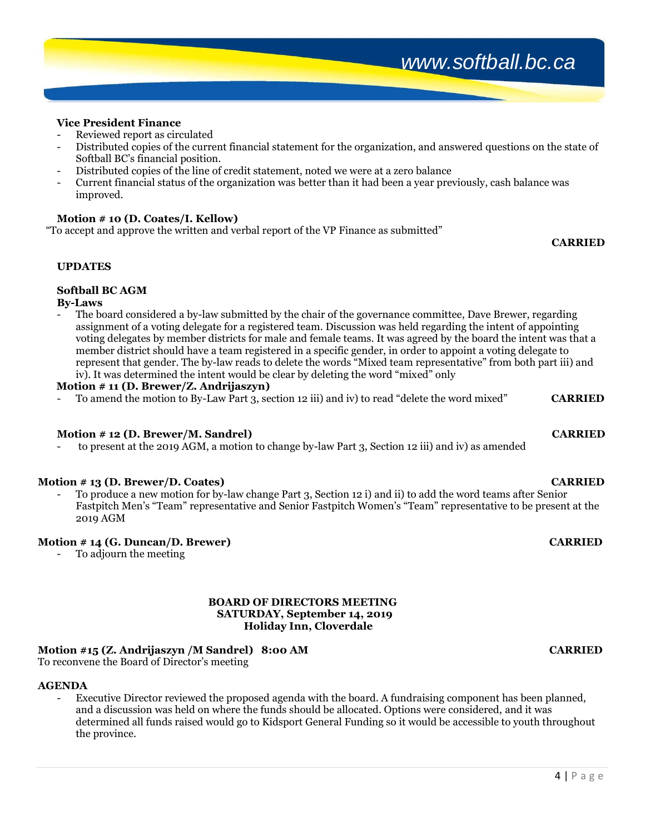# *www.softball.bc.ca*

# **Vice President Finance**

- Reviewed report as circulated<br>- Distributed copies of the sums
- Distributed copies of the current financial statement for the organization, and answered questions on the state of Softball BC's financial position.
- Distributed copies of the line of credit statement, noted we were at a zero balance
- Current financial status of the organization was better than it had been a year previously, cash balance was improved.

# **Motion # 10 (D. Coates/I. Kellow)**

"To accept and approve the written and verbal report of the VP Finance as submitted"

# *CARRIED*

# **UPDATES**

# **Softball BC AGM**

# **By-Laws**

The board considered a by-law submitted by the chair of the governance committee, Dave Brewer, regarding assignment of a voting delegate for a registered team. Discussion was held regarding the intent of appointing voting delegates by member districts for male and female teams. It was agreed by the board the intent was that a member district should have a team registered in a specific gender, in order to appoint a voting delegate to represent that gender. The by-law reads to delete the words "Mixed team representative" from both part iii) and iv). It was determined the intent would be clear by deleting the word "mixed" only

# **Motion # 11 (D. Brewer/Z. Andrijaszyn)**

- To amend the motion to By-Law Part 3, section 12 iii) and iv) to read "delete the word mixed" **CARRIED**

# **Motion # 12 (D. Brewer/M. Sandrel) CARRIED**

- to present at the 2019 AGM, a motion to change by-law Part 3, Section 12 iii) and iv) as amended

## **Motion # 13 (D. Brewer/D. Coates) CARRIED**

- To produce a new motion for by-law change Part 3, Section 12 i) and ii) to add the word teams after Senior Fastpitch Men's "Team" representative and Senior Fastpitch Women's "Team" representative to be present at the 2019 AGM

# **Motion # 14 (G. Duncan/D. Brewer) CARRIED**

To adjourn the meeting

### **BOARD OF DIRECTORS MEETING SATURDAY, September 14, 2019 Holiday Inn, Cloverdale**

# **Motion #15 (Z. Andrijaszyn /M Sandrel) 8:00 AM CARRIED**

To reconvene the Board of Director's meeting

## **AGENDA**

Executive Director reviewed the proposed agenda with the board. A fundraising component has been planned, and a discussion was held on where the funds should be allocated. Options were considered, and it was determined all funds raised would go to Kidsport General Funding so it would be accessible to youth throughout the province.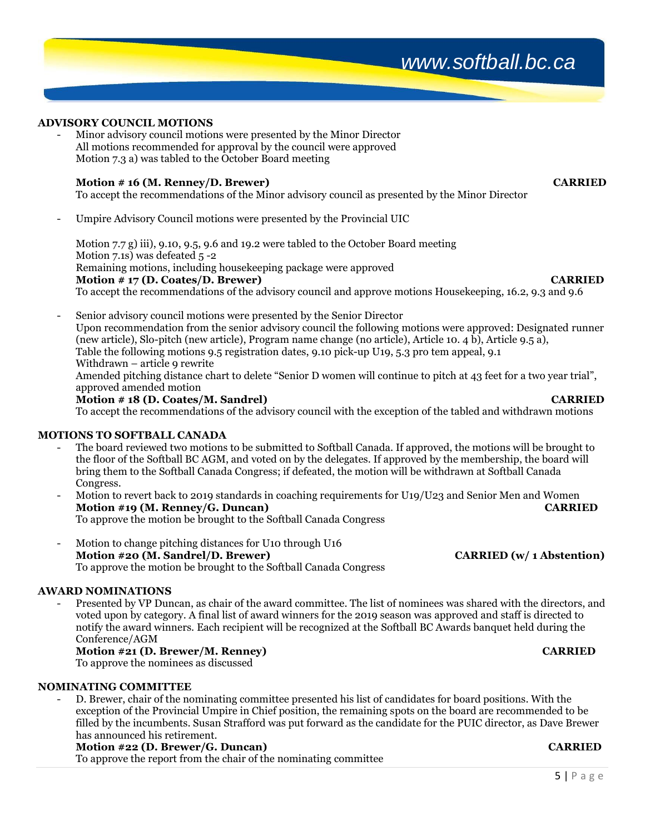5 | P a g e

# **ADVISORY COUNCIL MOTIONS**

- Minor advisory council motions were presented by the Minor Director All motions recommended for approval by the council were approved Motion 7.3 a) was tabled to the October Board meeting

# **Motion # 16 (M. Renney/D. Brewer) CARRIED**

To accept the recommendations of the Minor advisory council as presented by the Minor Director

- Umpire Advisory Council motions were presented by the Provincial UIC

Motion 7.7 g) iii), 9.10, 9.5, 9.6 and 19.2 were tabled to the October Board meeting Motion 7.1s) was defeated 5 -2 Remaining motions, including housekeeping package were approved **Motion # 17 (D. Coates/D. Brewer) CARRIED** To accept the recommendations of the advisory council and approve motions Housekeeping, 16.2, 9.3 and 9.6

- Senior advisory council motions were presented by the Senior Director Upon recommendation from the senior advisory council the following motions were approved: Designated runner (new article), Slo-pitch (new article), Program name change (no article), Article 10. 4 b), Article 9.5 a), Table the following motions 9.5 registration dates, 9.10 pick-up U19, 5.3 pro tem appeal, 9.1 Withdrawn – article 9 rewrite Amended pitching distance chart to delete "Senior D women will continue to pitch at 43 feet for a two year trial", approved amended motion **Motion # 18 (D. Coates/M. Sandrel) CARRIED**

To accept the recommendations of the advisory council with the exception of the tabled and withdrawn motions

# **MOTIONS TO SOFTBALL CANADA**

- The board reviewed two motions to be submitted to Softball Canada. If approved, the motions will be brought to the floor of the Softball BC AGM, and voted on by the delegates. If approved by the membership, the board will bring them to the Softball Canada Congress; if defeated, the motion will be withdrawn at Softball Canada Congress.
- Motion to revert back to 2019 standards in coaching requirements for U19/U23 and Senior Men and Women **Motion #19 (M. Renney/G. Duncan) CARRIED** To approve the motion be brought to the Softball Canada Congress
- Motion to change pitching distances for U10 through U16 **Motion #20 (M. Sandrel/D. Brewer) CARRIED (w/ 1 Abstention)** To approve the motion be brought to the Softball Canada Congress

# **AWARD NOMINATIONS**

- Presented by VP Duncan, as chair of the award committee. The list of nominees was shared with the directors, and voted upon by category. A final list of award winners for the 2019 season was approved and staff is directed to notify the award winners. Each recipient will be recognized at the Softball BC Awards banquet held during the Conference/AGM

# **Motion #21 (D. Brewer/M. Renney) CARRIED**

To approve the nominees as discussed

# **NOMINATING COMMITTEE**

- D. Brewer, chair of the nominating committee presented his list of candidates for board positions. With the exception of the Provincial Umpire in Chief position, the remaining spots on the board are recommended to be filled by the incumbents. Susan Strafford was put forward as the candidate for the PUIC director, as Dave Brewer has announced his retirement.

# **Motion #22 (D. Brewer/G. Duncan) CARRIED**

To approve the report from the chair of the nominating committee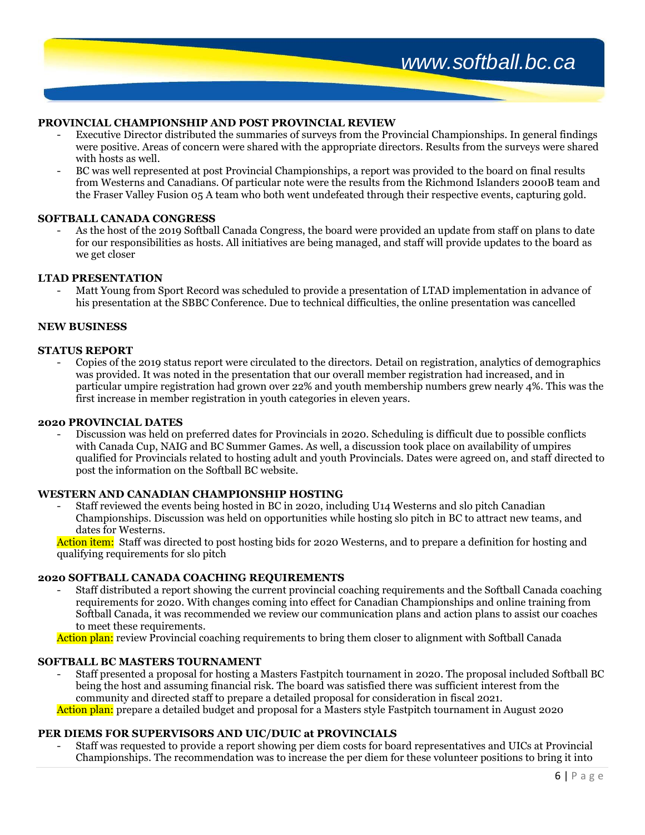## **PROVINCIAL CHAMPIONSHIP AND POST PROVINCIAL REVIEW**

- Executive Director distributed the summaries of surveys from the Provincial Championships. In general findings were positive. Areas of concern were shared with the appropriate directors. Results from the surveys were shared with hosts as well.
- BC was well represented at post Provincial Championships, a report was provided to the board on final results from Westerns and Canadians. Of particular note were the results from the Richmond Islanders 2000B team and the Fraser Valley Fusion 05 A team who both went undefeated through their respective events, capturing gold.

### **SOFTBALL CANADA CONGRESS**

As the host of the 2019 Softball Canada Congress, the board were provided an update from staff on plans to date for our responsibilities as hosts. All initiatives are being managed, and staff will provide updates to the board as we get closer

### **LTAD PRESENTATION**

Matt Young from Sport Record was scheduled to provide a presentation of LTAD implementation in advance of his presentation at the SBBC Conference. Due to technical difficulties, the online presentation was cancelled

### **NEW BUSINESS**

### **STATUS REPORT**

- Copies of the 2019 status report were circulated to the directors. Detail on registration, analytics of demographics was provided. It was noted in the presentation that our overall member registration had increased, and in particular umpire registration had grown over 22% and youth membership numbers grew nearly 4%. This was the first increase in member registration in youth categories in eleven years.

### **2020 PROVINCIAL DATES**

- Discussion was held on preferred dates for Provincials in 2020. Scheduling is difficult due to possible conflicts with Canada Cup, NAIG and BC Summer Games. As well, a discussion took place on availability of umpires qualified for Provincials related to hosting adult and youth Provincials. Dates were agreed on, and staff directed to post the information on the Softball BC website.

## **WESTERN AND CANADIAN CHAMPIONSHIP HOSTING**

- Staff reviewed the events being hosted in BC in 2020, including U14 Westerns and slo pitch Canadian Championships. Discussion was held on opportunities while hosting slo pitch in BC to attract new teams, and dates for Westerns.

Action item: Staff was directed to post hosting bids for 2020 Westerns, and to prepare a definition for hosting and qualifying requirements for slo pitch

### **2020 SOFTBALL CANADA COACHING REQUIREMENTS**

- Staff distributed a report showing the current provincial coaching requirements and the Softball Canada coaching requirements for 2020. With changes coming into effect for Canadian Championships and online training from Softball Canada, it was recommended we review our communication plans and action plans to assist our coaches to meet these requirements.

Action plan: review Provincial coaching requirements to bring them closer to alignment with Softball Canada

## **SOFTBALL BC MASTERS TOURNAMENT**

- Staff presented a proposal for hosting a Masters Fastpitch tournament in 2020. The proposal included Softball BC being the host and assuming financial risk. The board was satisfied there was sufficient interest from the community and directed staff to prepare a detailed proposal for consideration in fiscal 2021.

Action plan: prepare a detailed budget and proposal for a Masters style Fastpitch tournament in August 2020

### **PER DIEMS FOR SUPERVISORS AND UIC/DUIC at PROVINCIALS**

- Staff was requested to provide a report showing per diem costs for board representatives and UICs at Provincial Championships. The recommendation was to increase the per diem for these volunteer positions to bring it into